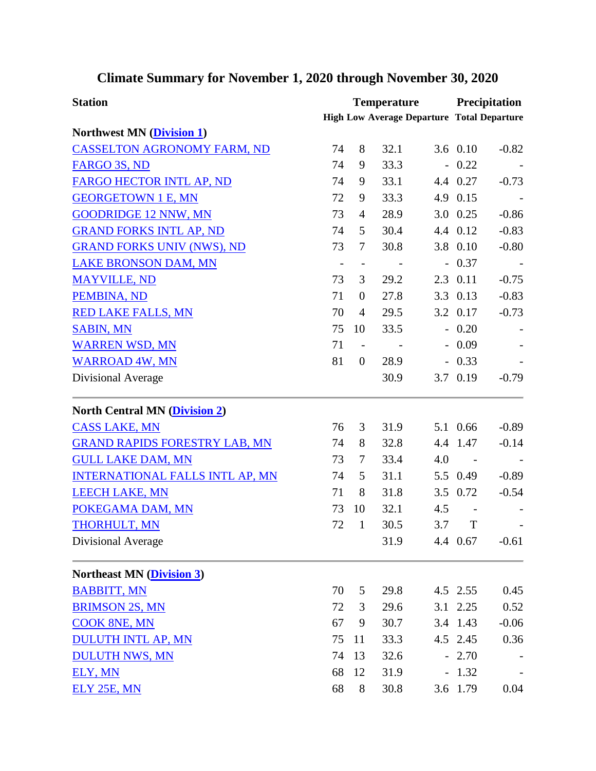| <b>Station</b>                         | <b>Temperature</b>           |                          |                                                   |     | <b>Precipitation</b>     |         |  |
|----------------------------------------|------------------------------|--------------------------|---------------------------------------------------|-----|--------------------------|---------|--|
|                                        |                              |                          | <b>High Low Average Departure Total Departure</b> |     |                          |         |  |
| <b>Northwest MN (Division 1)</b>       |                              |                          |                                                   |     |                          |         |  |
| <b>CASSELTON AGRONOMY FARM, ND</b>     | 74                           | 8                        | 32.1                                              |     | 3.6 0.10                 | $-0.82$ |  |
| FARGO 3S, ND                           | 74                           | 9                        | 33.3                                              |     | $-0.22$                  |         |  |
| FARGO HECTOR INTL AP, ND               | 74                           | 9                        | 33.1                                              |     | 4.4 0.27                 | $-0.73$ |  |
| <b>GEORGETOWN 1 E, MN</b>              | 72                           | 9                        | 33.3                                              |     | 4.9 0.15                 |         |  |
| <b>GOODRIDGE 12 NNW, MN</b>            | 73                           | $\overline{4}$           | 28.9                                              |     | 3.0 0.25                 | $-0.86$ |  |
| <b>GRAND FORKS INTL AP, ND</b>         | 74                           | 5                        | 30.4                                              |     | 4.4 0.12                 | $-0.83$ |  |
| <b>GRAND FORKS UNIV (NWS), ND</b>      | 73                           | $\tau$                   | 30.8                                              |     | 3.8 0.10                 | $-0.80$ |  |
| <b>LAKE BRONSON DAM, MN</b>            | $\qquad \qquad \blacksquare$ | $\overline{\phantom{a}}$ | $\overline{\phantom{a}}$                          |     | $-0.37$                  |         |  |
| <b>MAYVILLE, ND</b>                    | 73                           | 3                        | 29.2                                              |     | 2.3 0.11                 | $-0.75$ |  |
| PEMBINA, ND                            | 71                           | $\boldsymbol{0}$         | 27.8                                              |     | 3.3 0.13                 | $-0.83$ |  |
| <b>RED LAKE FALLS, MN</b>              | 70                           | $\overline{4}$           | 29.5                                              |     | 3.2 0.17                 | $-0.73$ |  |
| <b>SABIN, MN</b>                       | 75                           | 10                       | 33.5                                              |     | $-0.20$                  |         |  |
| <b>WARREN WSD, MN</b>                  | 71                           | $\overline{\phantom{a}}$ | $\sim$ $-$                                        |     | $-0.09$                  |         |  |
| <b>WARROAD 4W, MN</b>                  | 81                           | $\overline{0}$           | 28.9                                              |     | $-0.33$                  |         |  |
| Divisional Average                     |                              |                          | 30.9                                              |     | 3.7 0.19                 | $-0.79$ |  |
| <b>North Central MN (Division 2)</b>   |                              |                          |                                                   |     |                          |         |  |
| <b>CASS LAKE, MN</b>                   | 76                           | 3                        | 31.9                                              |     | 5.1 0.66                 | $-0.89$ |  |
| <b>GRAND RAPIDS FORESTRY LAB, MN</b>   | 74                           | 8                        | 32.8                                              |     | 4.4 1.47                 | $-0.14$ |  |
| <b>GULL LAKE DAM, MN</b>               | 73                           | $\tau$                   | 33.4                                              | 4.0 |                          |         |  |
| <b>INTERNATIONAL FALLS INTL AP, MN</b> | 74                           | 5                        | 31.1                                              |     | 5.5 0.49                 | $-0.89$ |  |
| <b>LEECH LAKE, MN</b>                  | 71                           | 8                        | 31.8                                              |     | 3.5 0.72                 | $-0.54$ |  |
| POKEGAMA DAM, MN                       | 73                           | 10                       | 32.1                                              | 4.5 | $\overline{\phantom{0}}$ |         |  |
| <b>THORHULT, MN</b>                    | 72                           | 1                        | 30.5                                              | 3.7 | T                        |         |  |
| Divisional Average                     |                              |                          | 31.9                                              |     | 4.4 0.67                 | $-0.61$ |  |
| <b>Northeast MN (Division 3)</b>       |                              |                          |                                                   |     |                          |         |  |
| <b>BABBITT, MN</b>                     | 70                           | 5                        | 29.8                                              |     | 4.5 2.55                 | 0.45    |  |
| <b>BRIMSON 2S, MN</b>                  | 72                           | 3                        | 29.6                                              |     | 3.1 2.25                 | 0.52    |  |
| <b>COOK 8NE, MN</b>                    | 67                           | 9                        | 30.7                                              |     | 3.4 1.43                 | $-0.06$ |  |
| <b>DULUTH INTL AP, MN</b>              | 75                           | 11                       | 33.3                                              |     | 4.5 2.45                 | 0.36    |  |
| <b>DULUTH NWS, MN</b>                  | 74                           | 13                       | 32.6                                              |     | $-2.70$                  |         |  |
| ELY, MN                                | 68                           | 12                       | 31.9                                              |     | $-1.32$                  |         |  |
| <b>ELY 25E, MN</b>                     | 68                           | 8                        | 30.8                                              |     | 3.6 1.79                 | 0.04    |  |

## **Climate Summary for November 1, 2020 through November 30, 2020**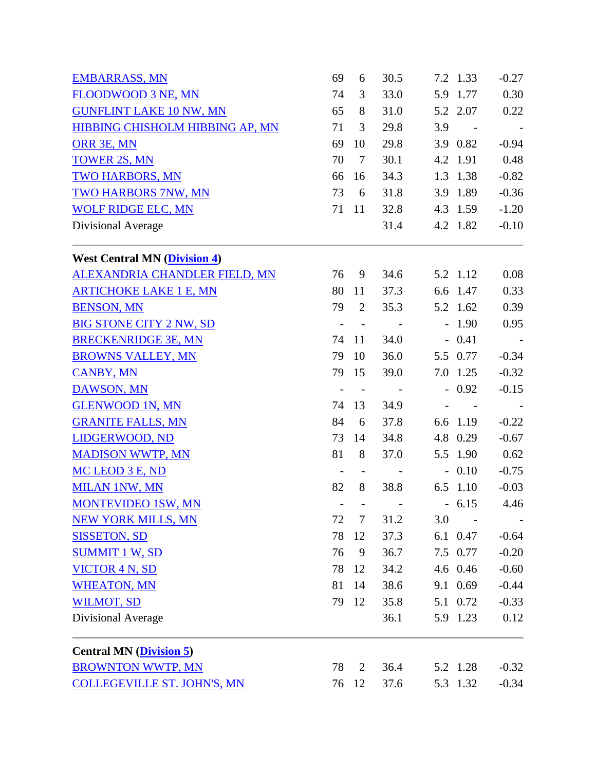| <b>EMBARRASS, MN</b>                    | 69                       | 6          | 30.5 |     | 7.2 1.33   | $-0.27$ |
|-----------------------------------------|--------------------------|------------|------|-----|------------|---------|
| FLOODWOOD 3 NE, MN                      | 74                       | 3          | 33.0 |     | 5.9 1.77   | 0.30    |
| <b>GUNFLINT LAKE 10 NW, MN</b>          | 65                       | 8          | 31.0 |     | 5.2 2.07   | 0.22    |
| HIBBING CHISHOLM HIBBING AP, MN         | 71                       | 3          | 29.8 | 3.9 | $\sim$ $-$ |         |
| ORR 3E, MN                              | 69                       | 10         | 29.8 |     | 3.9 0.82   | $-0.94$ |
| <b>TOWER 2S, MN</b>                     | 70                       | $\tau$     | 30.1 |     | 4.2 1.91   | 0.48    |
| <b>TWO HARBORS, MN</b>                  | 66                       | 16         | 34.3 |     | 1.3 1.38   | $-0.82$ |
| TWO HARBORS 7NW, MN                     | 73                       | 6          | 31.8 |     | 3.9 1.89   | $-0.36$ |
| <b>WOLF RIDGE ELC, MN</b>               | 71                       | 11         | 32.8 |     | 4.3 1.59   | $-1.20$ |
| Divisional Average                      |                          |            | 31.4 |     | 4.2 1.82   | $-0.10$ |
| <b>West Central MN (Division 4)</b>     |                          |            |      |     |            |         |
| ALEXANDRIA CHANDLER FIELD, MN           | 76                       | 9          | 34.6 |     | 5.2 1.12   | 0.08    |
| <b>ARTICHOKE LAKE 1 E, MN</b>           | 80                       | 11         | 37.3 |     | 6.6 1.47   | 0.33    |
| <b>BENSON, MN</b>                       | 79                       | 2          | 35.3 |     | 5.2 1.62   | 0.39    |
| <b>BIG STONE CITY 2 NW, SD</b>          | $\overline{a}$           | $\sim$ $-$ |      |     | $-1.90$    | 0.95    |
| <b>BRECKENRIDGE 3E, MN</b>              | 74                       | 11         | 34.0 |     | $-0.41$    | $\sim$  |
| <b>BROWNS VALLEY, MN</b>                | 79                       | 10         | 36.0 |     | 5.5 0.77   | $-0.34$ |
| <b>CANBY, MN</b>                        | 79                       | 15         | 39.0 |     | 7.0 1.25   | $-0.32$ |
| DAWSON, MN                              | $\qquad \qquad -$        | $\sim$ $-$ |      |     | $-0.92$    | $-0.15$ |
| <b>GLENWOOD 1N, MN</b>                  | 74                       | 13         | 34.9 |     |            |         |
| <b>GRANITE FALLS, MN</b>                | 84                       | 6          | 37.8 |     | 6.6 1.19   | $-0.22$ |
| LIDGERWOOD, ND                          | 73                       | 14         | 34.8 |     | 4.8 0.29   | $-0.67$ |
| <b>MADISON WWTP, MN</b>                 | 81                       | 8          | 37.0 |     | 5.5 1.90   | 0.62    |
| MC LEOD 3 E, ND                         | $\overline{\phantom{a}}$ |            |      |     | $-0.10$    | $-0.75$ |
| <b>MILAN 1NW, MN</b>                    | 82                       | 8          | 38.8 |     | 6.5 1.10   | $-0.03$ |
| <b>MONTEVIDEO 1SW, MN</b>               | $\overline{\phantom{a}}$ |            |      |     | $-6.15$    | 4.46    |
| <b>NEW YORK MILLS, MN</b>               | 72                       | 7          | 31.2 | 3.0 |            |         |
| <b>SISSETON, SD</b>                     | 78                       | 12         | 37.3 |     | 6.1 0.47   | $-0.64$ |
| <b>SUMMIT 1 W, SD</b>                   | 76                       | 9          | 36.7 |     | 7.5 0.77   | $-0.20$ |
| <b>VICTOR 4 N, SD</b>                   | 78                       | 12         | 34.2 |     | 4.6 0.46   | $-0.60$ |
| <b>WHEATON, MN</b>                      | 81                       | 14         | 38.6 |     | 9.1 0.69   | $-0.44$ |
| <b>WILMOT, SD</b>                       | 79                       | 12         | 35.8 |     | 5.1 0.72   | $-0.33$ |
| Divisional Average                      |                          |            | 36.1 |     | 5.9 1.23   | 0.12    |
| <b>Central MN</b> ( <i>Division 5</i> ) |                          |            |      |     |            |         |
| <b>BROWNTON WWTP, MN</b>                | 78                       | 2          | 36.4 |     | 5.2 1.28   | $-0.32$ |
| <b>COLLEGEVILLE ST. JOHN'S, MN</b>      | 76                       | 12         | 37.6 |     | 5.3 1.32   | $-0.34$ |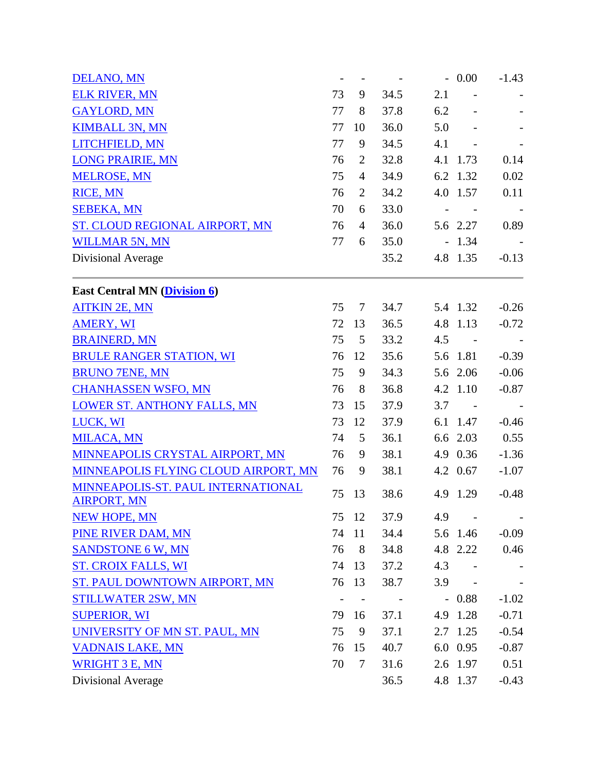| <b>DELANO, MN</b>                                        | $\overline{\phantom{a}}$ |                |      |     | $-0.00$        | $-1.43$ |
|----------------------------------------------------------|--------------------------|----------------|------|-----|----------------|---------|
| <b>ELK RIVER, MN</b>                                     | 73                       | 9              | 34.5 | 2.1 |                |         |
| <b>GAYLORD, MN</b>                                       | 77                       | 8              | 37.8 | 6.2 |                |         |
| <b>KIMBALL 3N, MN</b>                                    | 77                       | 10             | 36.0 | 5.0 |                |         |
| LITCHFIELD, MN                                           | 77                       | 9              | 34.5 | 4.1 | $\blacksquare$ |         |
| <b>LONG PRAIRIE, MN</b>                                  | 76                       | $\overline{2}$ | 32.8 |     | 4.1 1.73       | 0.14    |
| <b>MELROSE, MN</b>                                       | 75                       | $\overline{4}$ | 34.9 |     | 6.2 1.32       | 0.02    |
| RICE, MN                                                 | 76                       | $\overline{2}$ | 34.2 |     | 4.0 1.57       | 0.11    |
| <b>SEBEKA, MN</b>                                        | 70                       | 6              | 33.0 |     |                |         |
| ST. CLOUD REGIONAL AIRPORT, MN                           | 76                       | $\overline{4}$ | 36.0 |     | 5.6 2.27       | 0.89    |
| <b>WILLMAR 5N, MN</b>                                    | 77                       | 6              | 35.0 |     | $-1.34$        |         |
| Divisional Average                                       |                          |                | 35.2 |     | 4.8 1.35       | $-0.13$ |
| <b>East Central MN (Division 6)</b>                      |                          |                |      |     |                |         |
| <b>AITKIN 2E, MN</b>                                     | 75                       | $\tau$         | 34.7 |     | 5.4 1.32       | $-0.26$ |
| <b>AMERY, WI</b>                                         | 72                       | 13             | 36.5 |     | 4.8 1.13       | $-0.72$ |
| <b>BRAINERD, MN</b>                                      | 75                       | 5              | 33.2 | 4.5 |                |         |
| <b>BRULE RANGER STATION, WI</b>                          | 76                       | 12             | 35.6 |     | 5.6 1.81       | $-0.39$ |
| <b>BRUNO 7ENE, MN</b>                                    | 75                       | 9              | 34.3 |     | 5.6 2.06       | $-0.06$ |
| <b>CHANHASSEN WSFO, MN</b>                               | 76                       | 8              | 36.8 |     | 4.2 1.10       | $-0.87$ |
| <b>LOWER ST. ANTHONY FALLS, MN</b>                       | 73                       | 15             | 37.9 | 3.7 |                |         |
| LUCK, WI                                                 | 73                       | 12             | 37.9 |     | 6.1 1.47       | $-0.46$ |
| <b>MILACA, MN</b>                                        | 74                       | 5              | 36.1 |     | 6.6 2.03       | 0.55    |
| MINNEAPOLIS CRYSTAL AIRPORT, MN                          | 76                       | 9              | 38.1 |     | 4.9 0.36       | $-1.36$ |
| MINNEAPOLIS FLYING CLOUD AIRPORT, MN                     | 76                       | 9              | 38.1 |     | 4.2 0.67       | $-1.07$ |
| MINNEAPOLIS-ST. PAUL INTERNATIONAL<br><b>AIRPORT, MN</b> | 75                       | 13             | 38.6 |     | 4.9 1.29       | $-0.48$ |
| <b>NEW HOPE, MN</b>                                      | 75                       | 12             | 37.9 | 4.9 |                |         |
| PINE RIVER DAM, MN                                       | 74                       | 11             | 34.4 |     | 5.6 1.46       | $-0.09$ |
| <b>SANDSTONE 6 W, MN</b>                                 | 76                       | 8              | 34.8 |     | 4.8 2.22       | 0.46    |
| <b>ST. CROIX FALLS, WI</b>                               | 74                       | 13             | 37.2 | 4.3 |                |         |
| ST. PAUL DOWNTOWN AIRPORT, MN                            | 76                       | 13             | 38.7 | 3.9 |                |         |
| <b>STILLWATER 2SW, MN</b>                                | $\overline{\phantom{0}}$ |                |      |     | $-0.88$        | $-1.02$ |
| <b>SUPERIOR, WI</b>                                      | 79                       | 16             | 37.1 |     | 4.9 1.28       | $-0.71$ |
| UNIVERSITY OF MN ST. PAUL, MN                            | 75                       | 9              | 37.1 |     | 2.7 1.25       | $-0.54$ |
| <b>VADNAIS LAKE, MN</b>                                  | 76                       | 15             | 40.7 |     | 6.0 0.95       | $-0.87$ |
| <b>WRIGHT 3 E, MN</b>                                    | 70                       | $\tau$         | 31.6 |     | 2.6 1.97       | 0.51    |
| Divisional Average                                       |                          |                | 36.5 |     | 4.8 1.37       | $-0.43$ |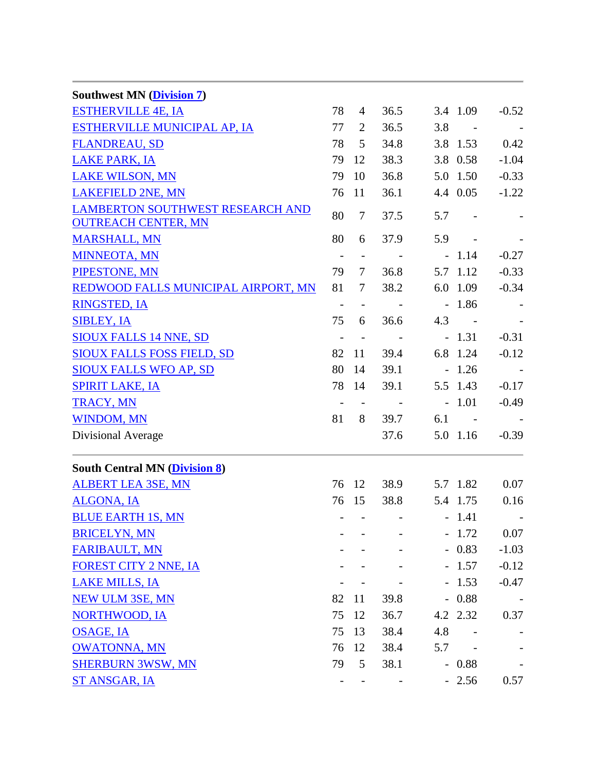| <b>Southwest MN (Division 7)</b>                                      |                          |                          |                          |     |                          |         |
|-----------------------------------------------------------------------|--------------------------|--------------------------|--------------------------|-----|--------------------------|---------|
| <b>ESTHERVILLE 4E, IA</b>                                             | 78                       | $\overline{4}$           | 36.5                     |     | 3.4 1.09                 | $-0.52$ |
| ESTHERVILLE MUNICIPAL AP, IA                                          | 77                       | 2                        | 36.5                     | 3.8 | $\sim$                   |         |
| <b>FLANDREAU, SD</b>                                                  | 78                       | 5                        | 34.8                     |     | 3.8 1.53                 | 0.42    |
| <b>LAKE PARK, IA</b>                                                  | 79                       | 12                       | 38.3                     |     | 3.8 0.58                 | $-1.04$ |
| <b>LAKE WILSON, MN</b>                                                | 79                       | 10                       | 36.8                     |     | 5.0 1.50                 | $-0.33$ |
| <b>LAKEFIELD 2NE, MN</b>                                              | 76                       | 11                       | 36.1                     |     | 4.4 0.05                 | $-1.22$ |
| <b>LAMBERTON SOUTHWEST RESEARCH AND</b><br><b>OUTREACH CENTER, MN</b> | 80                       | $\overline{7}$           | 37.5                     | 5.7 | $\overline{\phantom{a}}$ |         |
| <b>MARSHALL, MN</b>                                                   | 80                       | 6                        | 37.9                     | 5.9 | $\overline{\phantom{a}}$ |         |
| <b>MINNEOTA, MN</b>                                                   | $\sim$                   | $\overline{\phantom{a}}$ |                          |     | $-1.14$                  | $-0.27$ |
| PIPESTONE, MN                                                         | 79                       | $\tau$                   | 36.8                     |     | 5.7 1.12                 | $-0.33$ |
| REDWOOD FALLS MUNICIPAL AIRPORT, MN                                   | 81                       | 7                        | 38.2                     |     | 6.0 1.09                 | $-0.34$ |
| <b>RINGSTED, IA</b>                                                   | $\overline{\phantom{a}}$ |                          |                          |     | $-1.86$                  |         |
| <b>SIBLEY, IA</b>                                                     | 75                       | 6                        | 36.6                     | 4.3 | $\sim$ $-$               |         |
| <b>SIOUX FALLS 14 NNE, SD</b>                                         | $\overline{\phantom{a}}$ | $\overline{\phantom{a}}$ |                          |     | $-1.31$                  | $-0.31$ |
| <b>SIOUX FALLS FOSS FIELD, SD</b>                                     | 82                       | 11                       | 39.4                     |     | 6.8 1.24                 | $-0.12$ |
| <b>SIOUX FALLS WFO AP, SD</b>                                         | 80                       | 14                       | 39.1                     |     | $-1.26$                  |         |
| <b>SPIRIT LAKE, IA</b>                                                | 78                       | 14                       | 39.1                     |     | 5.5 1.43                 | $-0.17$ |
| <b>TRACY, MN</b>                                                      | $\overline{\phantom{a}}$ |                          | $\sim$ $-$               |     | $-1.01$                  | $-0.49$ |
| <b>WINDOM, MN</b>                                                     | 81                       | 8                        | 39.7                     | 6.1 | $\sim$ $-$               |         |
| Divisional Average                                                    |                          |                          | 37.6                     |     | 5.0 1.16                 | $-0.39$ |
| <b>South Central MN (Division 8)</b>                                  |                          |                          |                          |     |                          |         |
| <b>ALBERT LEA 3SE, MN</b>                                             | 76                       | 12                       | 38.9                     |     | 5.7 1.82                 | 0.07    |
| <b>ALGONA, IA</b>                                                     | 76                       | 15                       | 38.8                     |     | 5.4 1.75                 | 0.16    |
| <b>BLUE EARTH 1S, MN</b>                                              | Ξ.                       |                          | <b>Contract Contract</b> |     | $-1.41$                  |         |
| <b>BRICELYN, MN</b>                                                   |                          |                          |                          |     | $-1.72$                  | 0.07    |
| <b>FARIBAULT, MN</b>                                                  |                          |                          |                          |     | $-0.83$                  | $-1.03$ |
| <b>FOREST CITY 2 NNE, IA</b>                                          |                          |                          |                          |     | $-1.57$                  | $-0.12$ |
| <b>LAKE MILLS, IA</b>                                                 |                          |                          |                          |     | $-1.53$                  | $-0.47$ |
| <b>NEW ULM 3SE, MN</b>                                                | 82                       | 11                       | 39.8                     |     | $-0.88$                  |         |
| <b>NORTHWOOD, IA</b>                                                  | 75                       | 12                       | 36.7                     |     | 4.2 2.32                 | 0.37    |
| <b>OSAGE, IA</b>                                                      | 75                       | 13                       | 38.4                     | 4.8 |                          |         |
| <b>OWATONNA, MN</b>                                                   | 76                       | 12                       | 38.4                     | 5.7 |                          |         |
| <b>SHERBURN 3WSW, MN</b>                                              | 79                       | 5                        | 38.1                     |     | $-0.88$                  |         |
| <b>ST ANSGAR, IA</b>                                                  |                          |                          |                          |     | $-2.56$                  | 0.57    |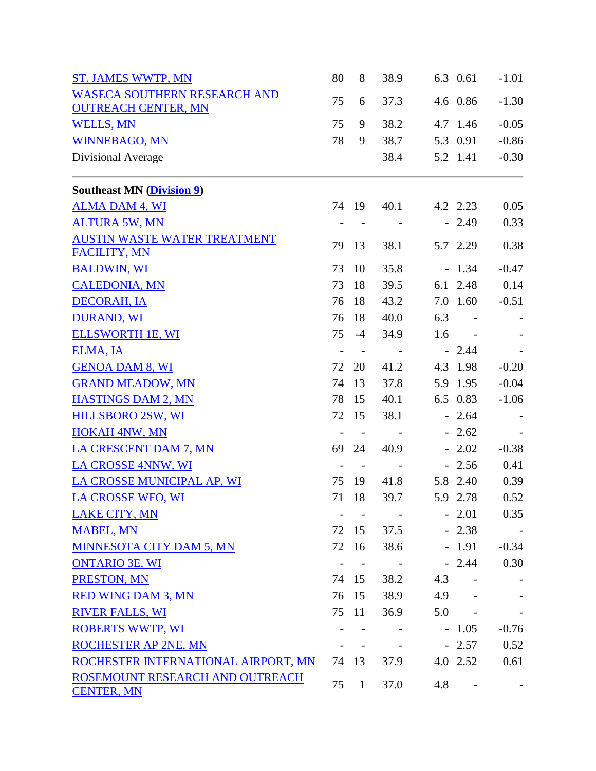| <b>ST. JAMES WWTP, MN</b>                            | 80                | 8                        | 38.9       |     | 6.3 0.61                 | $-1.01$ |
|------------------------------------------------------|-------------------|--------------------------|------------|-----|--------------------------|---------|
| <b>WASECA SOUTHERN RESEARCH AND</b>                  | 75                |                          | 37.3       |     | 4.6 0.86                 |         |
| <b>OUTREACH CENTER, MN</b>                           |                   | 6                        |            |     |                          | $-1.30$ |
| <b>WELLS, MN</b>                                     | 75                | 9                        | 38.2       |     | 4.7 1.46                 | $-0.05$ |
| <b>WINNEBAGO, MN</b>                                 | 78                | 9                        | 38.7       |     | 5.3 0.91                 | $-0.86$ |
| Divisional Average                                   |                   |                          | 38.4       |     | 5.2 1.41                 | $-0.30$ |
| <b>Southeast MN (Division 9)</b>                     |                   |                          |            |     |                          |         |
| <b>ALMA DAM 4, WI</b>                                |                   | 74 19                    | 40.1       |     | 4.2 2.23                 | 0.05    |
| <b>ALTURA 5W, MN</b>                                 |                   |                          |            |     | $-2.49$                  | 0.33    |
| <b>AUSTIN WASTE WATER TREATMENT</b>                  | 79                | 13                       |            |     | 5.7 2.29                 |         |
| <b>FACILITY, MN</b>                                  |                   |                          | 38.1       |     |                          | 0.38    |
| <b>BALDWIN, WI</b>                                   | 73                | 10                       | 35.8       |     | $-1.34$                  | $-0.47$ |
| <b>CALEDONIA, MN</b>                                 | 73                | 18                       | 39.5       |     | 6.1 2.48                 | 0.14    |
| <b>DECORAH, IA</b>                                   | 76                | 18                       | 43.2       |     | 7.0 1.60                 | $-0.51$ |
| <b>DURAND, WI</b>                                    | 76                | 18                       | 40.0       | 6.3 | $\overline{\phantom{a}}$ |         |
| <b>ELLSWORTH 1E, WI</b>                              | 75                | $-4$                     | 34.9       | 1.6 |                          |         |
| ELMA, IA                                             | $\frac{1}{2}$     | $\overline{\phantom{a}}$ | $\sim$ $-$ |     | $-2.44$                  |         |
| <b>GENOA DAM 8, WI</b>                               | 72                | 20                       | 41.2       |     | 4.3 1.98                 | $-0.20$ |
| <b>GRAND MEADOW, MN</b>                              | 74                | 13                       | 37.8       |     | 5.9 1.95                 | $-0.04$ |
| <b>HASTINGS DAM 2, MN</b>                            | 78                | 15                       | 40.1       |     | 6.5 0.83                 | $-1.06$ |
| <b>HILLSBORO 2SW, WI</b>                             | 72                | 15                       | 38.1       |     | $-2.64$                  |         |
| <b>HOKAH 4NW, MN</b>                                 |                   | $\sim$ $-$               |            |     | $-2.62$                  |         |
| <b>LA CRESCENT DAM 7, MN</b>                         | 69                | 24                       | 40.9       |     | $-2.02$                  | $-0.38$ |
| LA CROSSE 4NNW, WI                                   | $\qquad \qquad -$ | $\sim$ $-$               |            |     | $-2.56$                  | 0.41    |
| LA CROSSE MUNICIPAL AP, WI                           | 75                | 19                       | 41.8       |     | 5.8 2.40                 | 0.39    |
| <b>LA CROSSE WFO, WI</b>                             | 71                | 18                       | 39.7       |     | 5.9 2.78                 | 0.52    |
| <b>LAKE CITY, MN</b>                                 |                   |                          |            |     | $-2.01$                  | 0.35    |
| <b>MABEL, MN</b>                                     | 72                | 15                       | 37.5       |     | $-2.38$                  |         |
| MINNESOTA CITY DAM 5, MN                             | 72                | 16                       | 38.6       |     | $-1.91$                  | $-0.34$ |
| <b>ONTARIO 3E, WI</b>                                | $\qquad \qquad -$ |                          | $\sim 100$ |     | $-2.44$                  | 0.30    |
| PRESTON, MN                                          | 74                | 15                       | 38.2       | 4.3 | $\overline{\phantom{a}}$ |         |
| <b>RED WING DAM 3, MN</b>                            | 76                | 15                       | 38.9       | 4.9 |                          |         |
| <b>RIVER FALLS, WI</b>                               | 75                | 11                       | 36.9       | 5.0 |                          |         |
| <b>ROBERTS WWTP, WI</b>                              |                   |                          |            |     | $-1.05$                  | $-0.76$ |
| ROCHESTER AP 2NE, MN                                 |                   |                          |            |     | $-2.57$                  | 0.52    |
| ROCHESTER INTERNATIONAL AIRPORT, MN                  | 74                | 13                       | 37.9       |     | 4.0 2.52                 | 0.61    |
| ROSEMOUNT RESEARCH AND OUTREACH<br><b>CENTER, MN</b> | 75                | $\mathbf{1}$             | 37.0       | 4.8 |                          |         |